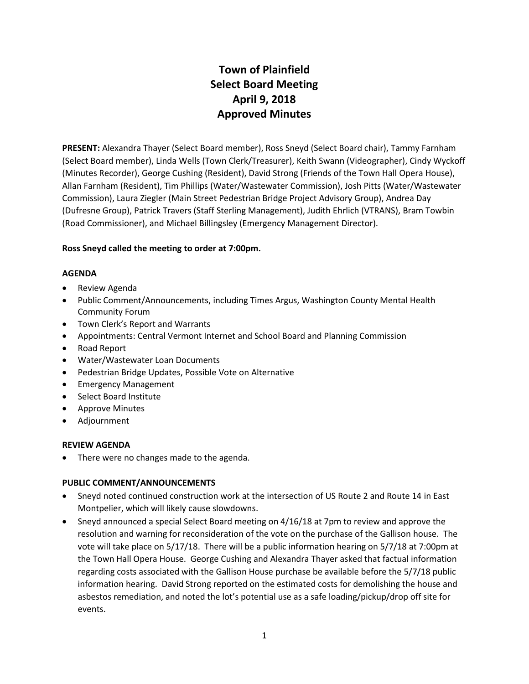# **Town of Plainfield Select Board Meeting April 9, 2018 Approved Minutes**

**PRESENT:** Alexandra Thayer (Select Board member), Ross Sneyd (Select Board chair), Tammy Farnham (Select Board member), Linda Wells (Town Clerk/Treasurer), Keith Swann (Videographer), Cindy Wyckoff (Minutes Recorder), George Cushing (Resident), David Strong (Friends of the Town Hall Opera House), Allan Farnham (Resident), Tim Phillips (Water/Wastewater Commission), Josh Pitts (Water/Wastewater Commission), Laura Ziegler (Main Street Pedestrian Bridge Project Advisory Group), Andrea Day (Dufresne Group), Patrick Travers (Staff Sterling Management), Judith Ehrlich (VTRANS), Bram Towbin (Road Commissioner), and Michael Billingsley (Emergency Management Director).

# **Ross Sneyd called the meeting to order at 7:00pm.**

# **AGENDA**

- Review Agenda
- Public Comment/Announcements, including Times Argus, Washington County Mental Health Community Forum
- Town Clerk's Report and Warrants
- Appointments: Central Vermont Internet and School Board and Planning Commission
- Road Report
- Water/Wastewater Loan Documents
- Pedestrian Bridge Updates, Possible Vote on Alternative
- **•** Emergency Management
- Select Board Institute
- Approve Minutes
- Adjournment

# **REVIEW AGENDA**

There were no changes made to the agenda.

# **PUBLIC COMMENT/ANNOUNCEMENTS**

- Sneyd noted continued construction work at the intersection of US Route 2 and Route 14 in East Montpelier, which will likely cause slowdowns.
- Sneyd announced a special Select Board meeting on 4/16/18 at 7pm to review and approve the resolution and warning for reconsideration of the vote on the purchase of the Gallison house. The vote will take place on 5/17/18. There will be a public information hearing on 5/7/18 at 7:00pm at the Town Hall Opera House. George Cushing and Alexandra Thayer asked that factual information regarding costs associated with the Gallison House purchase be available before the 5/7/18 public information hearing. David Strong reported on the estimated costs for demolishing the house and asbestos remediation, and noted the lot's potential use as a safe loading/pickup/drop off site for events.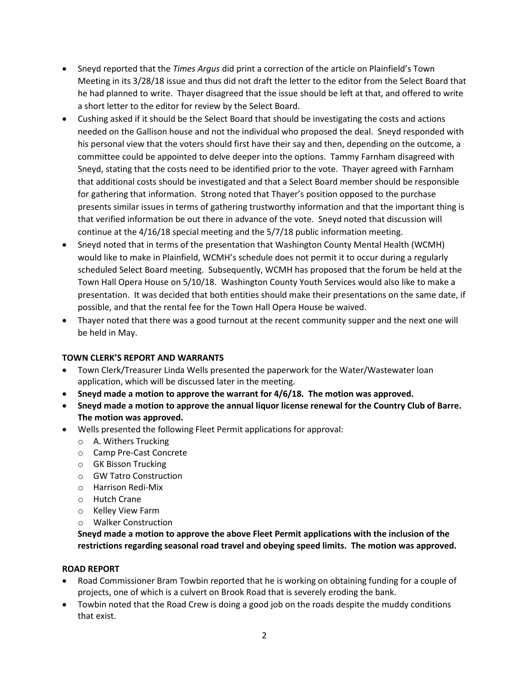- Sneyd reported that the *Times Argus* did print a correction of the article on Plainfield's Town Meeting in its 3/28/18 issue and thus did not draft the letter to the editor from the Select Board that he had planned to write. Thayer disagreed that the issue should be left at that, and offered to write a short letter to the editor for review by the Select Board.
- Cushing asked if it should be the Select Board that should be investigating the costs and actions needed on the Gallison house and not the individual who proposed the deal. Sneyd responded with his personal view that the voters should first have their say and then, depending on the outcome, a committee could be appointed to delve deeper into the options. Tammy Farnham disagreed with Sneyd, stating that the costs need to be identified prior to the vote. Thayer agreed with Farnham that additional costs should be investigated and that a Select Board member should be responsible for gathering that information. Strong noted that Thayer's position opposed to the purchase presents similar issues in terms of gathering trustworthy information and that the important thing is that verified information be out there in advance of the vote. Sneyd noted that discussion will continue at the 4/16/18 special meeting and the 5/7/18 public information meeting.
- Sneyd noted that in terms of the presentation that Washington County Mental Health (WCMH) would like to make in Plainfield, WCMH's schedule does not permit it to occur during a regularly scheduled Select Board meeting. Subsequently, WCMH has proposed that the forum be held at the Town Hall Opera House on 5/10/18. Washington County Youth Services would also like to make a presentation. It was decided that both entities should make their presentations on the same date, if possible, and that the rental fee for the Town Hall Opera House be waived.
- Thayer noted that there was a good turnout at the recent community supper and the next one will be held in May.

# **TOWN CLERK'S REPORT AND WARRANTS**

- Town Clerk/Treasurer Linda Wells presented the paperwork for the Water/Wastewater loan application, which will be discussed later in the meeting.
- **Sneyd made a motion to approve the warrant for 4/6/18. The motion was approved.**
- **Sneyd made a motion to approve the annual liquor license renewal for the Country Club of Barre. The motion was approved.**
- Wells presented the following Fleet Permit applications for approval:
	- o A. Withers Trucking
	- o Camp Pre-Cast Concrete
	- o GK Bisson Trucking
	- o GW Tatro Construction
	- o Harrison Redi-Mix
	- o Hutch Crane
	- o Kelley View Farm
	- o Walker Construction

**Sneyd made a motion to approve the above Fleet Permit applications with the inclusion of the restrictions regarding seasonal road travel and obeying speed limits. The motion was approved.**

# **ROAD REPORT**

- Road Commissioner Bram Towbin reported that he is working on obtaining funding for a couple of projects, one of which is a culvert on Brook Road that is severely eroding the bank.
- Towbin noted that the Road Crew is doing a good job on the roads despite the muddy conditions that exist.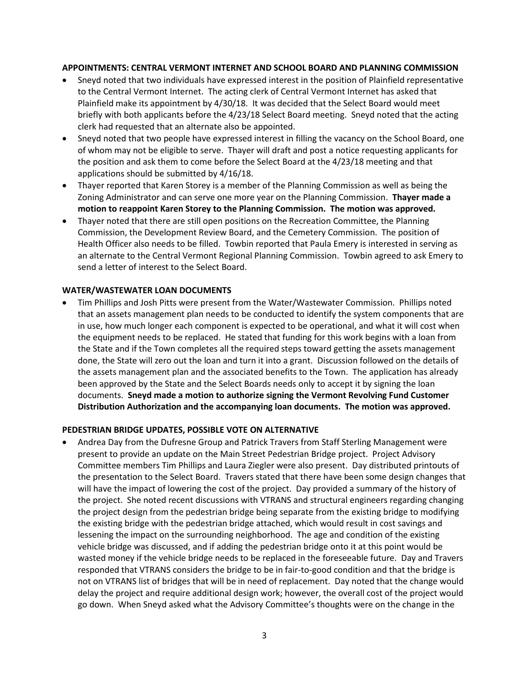#### **APPOINTMENTS: CENTRAL VERMONT INTERNET AND SCHOOL BOARD AND PLANNING COMMISSION**

- Sneyd noted that two individuals have expressed interest in the position of Plainfield representative to the Central Vermont Internet. The acting clerk of Central Vermont Internet has asked that Plainfield make its appointment by 4/30/18. It was decided that the Select Board would meet briefly with both applicants before the 4/23/18 Select Board meeting. Sneyd noted that the acting clerk had requested that an alternate also be appointed.
- Sneyd noted that two people have expressed interest in filling the vacancy on the School Board, one of whom may not be eligible to serve. Thayer will draft and post a notice requesting applicants for the position and ask them to come before the Select Board at the 4/23/18 meeting and that applications should be submitted by 4/16/18.
- Thayer reported that Karen Storey is a member of the Planning Commission as well as being the Zoning Administrator and can serve one more year on the Planning Commission. **Thayer made a motion to reappoint Karen Storey to the Planning Commission. The motion was approved.**
- Thayer noted that there are still open positions on the Recreation Committee, the Planning Commission, the Development Review Board, and the Cemetery Commission. The position of Health Officer also needs to be filled. Towbin reported that Paula Emery is interested in serving as an alternate to the Central Vermont Regional Planning Commission. Towbin agreed to ask Emery to send a letter of interest to the Select Board.

### **WATER/WASTEWATER LOAN DOCUMENTS**

 Tim Phillips and Josh Pitts were present from the Water/Wastewater Commission. Phillips noted that an assets management plan needs to be conducted to identify the system components that are in use, how much longer each component is expected to be operational, and what it will cost when the equipment needs to be replaced. He stated that funding for this work begins with a loan from the State and if the Town completes all the required steps toward getting the assets management done, the State will zero out the loan and turn it into a grant. Discussion followed on the details of the assets management plan and the associated benefits to the Town. The application has already been approved by the State and the Select Boards needs only to accept it by signing the loan documents. **Sneyd made a motion to authorize signing the Vermont Revolving Fund Customer Distribution Authorization and the accompanying loan documents. The motion was approved.**

#### **PEDESTRIAN BRIDGE UPDATES, POSSIBLE VOTE ON ALTERNATIVE**

 Andrea Day from the Dufresne Group and Patrick Travers from Staff Sterling Management were present to provide an update on the Main Street Pedestrian Bridge project. Project Advisory Committee members Tim Phillips and Laura Ziegler were also present. Day distributed printouts of the presentation to the Select Board. Travers stated that there have been some design changes that will have the impact of lowering the cost of the project. Day provided a summary of the history of the project. She noted recent discussions with VTRANS and structural engineers regarding changing the project design from the pedestrian bridge being separate from the existing bridge to modifying the existing bridge with the pedestrian bridge attached, which would result in cost savings and lessening the impact on the surrounding neighborhood. The age and condition of the existing vehicle bridge was discussed, and if adding the pedestrian bridge onto it at this point would be wasted money if the vehicle bridge needs to be replaced in the foreseeable future. Day and Travers responded that VTRANS considers the bridge to be in fair-to-good condition and that the bridge is not on VTRANS list of bridges that will be in need of replacement. Day noted that the change would delay the project and require additional design work; however, the overall cost of the project would go down. When Sneyd asked what the Advisory Committee's thoughts were on the change in the